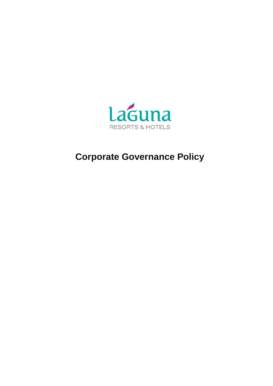

# **Corporate Governance Policy**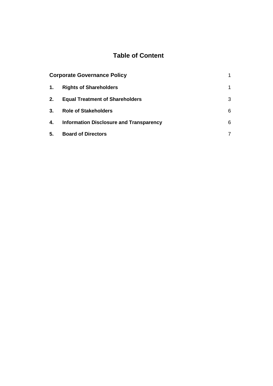# **Table of Content**

| <b>Corporate Governance Policy</b> |                                                |   |
|------------------------------------|------------------------------------------------|---|
| 1.                                 | <b>Rights of Shareholders</b>                  | 1 |
| 2.                                 | <b>Equal Treatment of Shareholders</b>         | 3 |
| 3.                                 | <b>Role of Stakeholders</b>                    | 6 |
| 4.                                 | <b>Information Disclosure and Transparency</b> | 6 |
| 5.                                 | <b>Board of Directors</b>                      |   |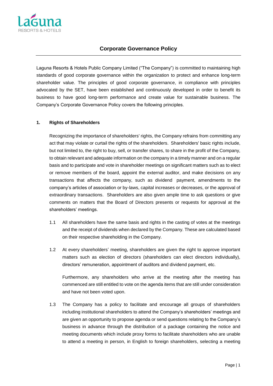

### **Corporate Governance Policy**

Laguna Resorts & Hotels Public Company Limited ("The Company") is committed to maintaining high standards of good corporate governance within the organization to protect and enhance long-term shareholder value. The principles of good corporate governance, in compliance with principles advocated by the SET, have been established and continuously developed in order to benefit its business to have good long-term performance and create value for sustainable business. The Company's Corporate Governance Policy covers the following principles.

#### **1. Rights of Shareholders**

Recognizing the importance of shareholders' rights, the Company refrains from committing any act that may violate or curtail the rights of the shareholders. Shareholders' basic rights include, but not limited to, the right to buy, sell, or transfer shares, to share in the profit of the Company, to obtain relevant and adequate information on the company in a timely manner and on a regular basis and to participate and vote in shareholder meetings on significant matters such as to elect or remove members of the board, appoint the external auditor, and make decisions on any transactions that affects the company, such as dividend payment, amendments to the company's articles of association or by-laws, capital increases or decreases, or the approval of extraordinary transactions. Shareholders are also given ample time to ask questions or give comments on matters that the Board of Directors presents or requests for approval at the shareholders' meetings.

- 1.1 All shareholders have the same basis and rights in the casting of votes at the meetings and the receipt of dividends when declared by the Company. These are calculated based on their respective shareholding in the Company.
- 1.2 At every shareholders' meeting, shareholders are given the right to approve important matters such as election of directors (shareholders can elect directors individually), directors' remuneration, appointment of auditors and dividend payment, etc.

Furthermore, any shareholders who arrive at the meeting after the meeting has commenced are still entitled to vote on the agenda items that are still under consideration and have not been voted upon.

1.3 The Company has a policy to facilitate and encourage all groups of shareholders including institutional shareholders to attend the Company's shareholders' meetings and are given an opportunity to propose agenda or send questions relating to the Company's business in advance through the distribution of a package containing the notice and meeting documents which include proxy forms to facilitate shareholders who are unable to attend a meeting in person, in English to foreign shareholders, selecting a meeting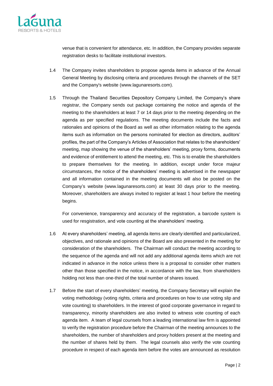

venue that is convenient for attendance, etc. In addition, the Company provides separate registration desks to facilitate institutional investors.

- 1.4 The Company invites shareholders to propose agenda items in advance of the Annual General Meeting by disclosing criteria and procedures through the channels of the SET and the Company's website [\(www.lagunaresorts.com\)](http://www.lagunaresorts.com/).
- 1.5 Through the Thailand Securities Depository Company Limited, the Company's share registrar, the Company sends out package containing the notice and agenda of the meeting to the shareholders at least 7 or 14 days prior to the meeting depending on the agenda as per specified regulations. The meeting documents include the facts and rationales and opinions of the Board as well as other information relating to the agenda items such as information on the persons nominated for election as directors, auditors' profiles, the part of the Company's Articles of Association that relates to the shareholders' meeting, map showing the venue of the shareholders' meeting, proxy forms, documents and evidence of entitlement to attend the meeting, etc. This is to enable the shareholders to prepare themselves for the meeting. In addition, except under force majeur circumstances, the notice of the shareholders' meeting is advertised in the newspaper and all information contained in the meeting documents will also be posted on the Company's website (www.lagunaresorts.com) at least 30 days prior to the meeting. Moreover, shareholders are always invited to register at least 1 hour before the meeting begins.

For convenience, transparency and accuracy of the registration, a barcode system is used for resgistration, and vote counting at the shareholders' meeting.

- 1.6 At every shareholders' meeting, all agenda items are clearly identified and particularized, objectives, and rationale and opinions of the Board are also presented in the meeting for consideration of the shareholders. The Chairman will conduct the meeting according to the sequence of the agenda and will not add any additional agenda items which are not indicated in advance in the notice unless there is a proposal to consider other matters other than those specified in the notice, in accordance with the law, from shareholders holding not less than one-third of the total number of shares issued.
- 1.7 Before the start of every shareholders' meeting, the Company Secretary will explain the voting methodology (voting rights, criteria and procedures on how to use voting slip and vote counting) to shareholders. In the interest of good corporate governance in regard to transparency, minority shareholders are also invited to witness vote counting of each agenda item. A team of legal counsels from a leading international law firm is appointed to verify the registration procedure before the Chairman of the meeting announces to the shareholders, the number of shareholders and proxy holders present at the meeting and the number of shares held by them. The legal counsels also verify the vote counting procedure in respect of each agenda item before the votes are announced as resolution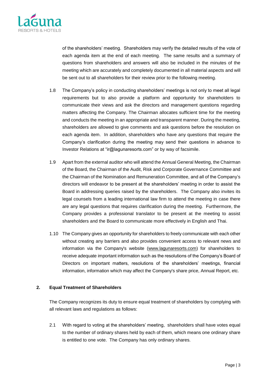

of the shareholders' meeting. Shareholders may verify the detailed results of the vote of each agenda item at the end of each meeting. The same results and a summary of questions from shareholders and answers will also be included in the minutes of the meeting which are accurately and completely documented in all material aspects and will be sent out to all shareholders for their review prior to the following meeting.

- 1.8 The Company's policy in conducting shareholders' meetings is not only to meet all legal requirements but to also provide a platform and opportunity for shareholders to communicate their views and ask the directors and management questions regarding matters affecting the Company. The Chairman allocates sufficient time for the meeting and conducts the meeting in an appropriate and transparent manner. During the meeting, shareholders are allowed to give comments and ask questions before the resolution on each agenda item. In addition, shareholders who have any questions that require the Company's clarification during the meeting may send their questions in advance to Investor Relations at "ir@lagunaresorts.com" or by way of facsimile.
- 1.9 Apart from the external auditor who will attend the Annual General Meeting, the Chairman of the Board, the Chairman of the Audit, Risk and Corporate Governance Committee and the Chairman of the Nomination and Remuneration Committee, and all of the Company's directors will endeavor to be present at the shareholders' meeting in order to assist the Board in addressing queries raised by the shareholders. The Company also invites its legal counsels from a leading international law firm to attend the meeting in case there are any legal questions that requires clarification during the meeting. Furthermore, the Company provides a professional translator to be present at the meeting to assist shareholders and the Board to communicate more effectively in English and Thai.
- 1.10 The Company gives an opportunity for shareholders to freely communicate with each other without creating any barriers and also provides convenient access to relevant news and information via the Company's website [\(www.lagunaresorts.com\)](http://www.lagunaresorts.com/) for shareholders to receive adequate important information such as the resolutions of the Company's Board of Directors on important matters, resolutions of the shareholders' meetings, financial information, information which may affect the Company's share price, Annual Report, etc.

#### **2. Equal Treatment of Shareholders**

The Company recognizes its duty to ensure equal treatment of shareholders by complying with all relevant laws and regulations as follows:

2.1 With regard to voting at the shareholders' meeting, shareholders shall have votes equal to the number of ordinary shares held by each of them, which means one ordinary share is entitled to one vote. The Company has only ordinary shares.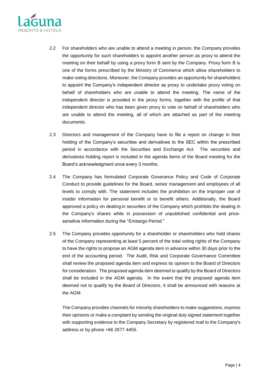

- 2.2 For shareholders who are unable to attend a meeting in person, the Company provides the opportunity for such shareholders to appoint another person as proxy to attend the meeting on their behalf by using a proxy form B sent by the Company. Proxy form B is one of the forms prescribed by the Ministry of Commerce which allow shareholders to make voting directions. Moreover, the Company provides an opportunity for shareholders to appoint the Company's independent director as proxy to undertake proxy voting on behalf of shareholders who are unable to attend the meeting. The name of the independent director is provided in the proxy forms, together with the profile of that independent director who has been given proxy to vote on behalf of shareholders who are unable to attend the meeting, all of which are attached as part of the meeting documents.
- 2.3 Directors and management of the Company have to file a report on change in their holding of the Company's securities and derivatives to the SEC within the prescribed period in accordance with the Securities and Exchange Act. The securities and derivatives holding report is included in the agenda items of the Board meeting for the Board's acknowledgment once every 3 months.
- 2.4 The Company has formulated Corporate Goverance Policy and Code of Corporate Conduct to provide guidelines for the Board, senior management and employees of all levels to comply with. The statement includes the prohibition on the improper use of insider information for personal benefit or to benefit others. Additionally, the Board approved a policy on dealing in securities of the Company which prohibits the dealing in the Company's shares while in possession of unpublished confidential and pricesensitive information during the "Embargo Period."
- 2.5 The Company provides opportunity for a shareholder or shareholders who hold shares of the Company representing at least 5 percent of the total voting rights of the Company to have the rights to propose an AGM agenda item in advance within 30 days prior to the end of the accounting period. The Audit, Risk and Corporate Governance Committee shall review the proposed agenda item and express its opinion to the Board of Directors for consideration. The proposed agenda item deemed to qualify by the Board of Directors shall be included in the AGM agenda. In the event that the proposed agenda item deemed not to qualify by the Board of Directors, it shall be announced with reasons at the AGM.

The Company provides channels for minority shareholders to make suggestions, express their opinions or make a complaint by sending the original duly signed statement together with supporting evidence to the Company Secretary by registered mail to the Company's address or by phone +66 2677 4455.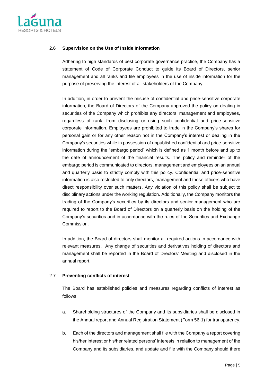

#### 2.6 **Supervision on the Use of Inside Information**

Adhering to high standards of best corporate governance practice, the Company has a statement of Code of Corporate Conduct to guide its Board of Directors, senior management and all ranks and file employees in the use of inside information for the purpose of preserving the interest of all stakeholders of the Company.

In addition, in order to prevent the misuse of confidential and price-sensitive corporate information, the Board of Directors of the Company approved the policy on dealing in securities of the Company which prohibits any directors, management and employees, regardless of rank, from disclosing or using such confidential and price-sensitive corporate information. Employees are prohibited to trade in the Company's shares for personal gain or for any other reason not in the Company's interest or dealing in the Company's securities while in possession of unpublished confidential and price-sensitive information during the "embargo period" which is defined as 1 month before and up to the date of announcement of the financial results. The policy and reminder of the embargo period is communicated to directors, management and employees on an annual and quarterly basis to strictly comply with this policy. Confidential and price-sensitive information is also restricted to only directors, management and those officers who have direct responsibility over such matters. Any violation of this policy shall be subject to disciplinary actions under the working regulation. Additionally, the Company monitors the trading of the Company's securities by its directors and senior management who are required to report to the Board of Directors on a quarterly basis on the holding of the Company's securities and in accordance with the rules of the Securities and Exchange Commission.

In addition, the Board of directors shall monitor all required actions in accordance with relevant measures. Any change of securities and derivatives holding of directors and management shall be reported in the Board of Drectors' Meeting and disclosed in the annual report.

#### 2.7 **Preventing conflicts of interest**

The Board has established policies and measures regarding conflicts of interest as follows:

- a. Shareholding structures of the Company and its subsidiaries shall be disclosed in the Annual report and Annual Registration Statement (Form 56-1) for transparency.
- b. Each of the directors and management shall file with the Company a report covering his/her interest or his/her related persons' interests in relation to management of the Company and its subsidiaries, and update and file with the Company should there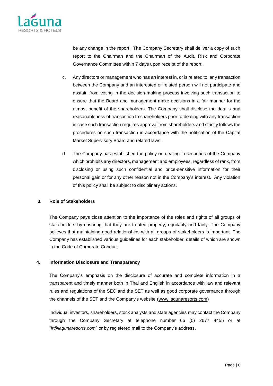

be any change in the report. The Company Secretary shall deliver a copy of such report to the Chairman and the Chairman of the Audit, Risk and Corporate Governance Committee within 7 days upon receipt of the report.

- c. Any directors or management who has an interest in, or is related to, any transaction between the Company and an interested or related person will not participate and abstain from voting in the decision-making process involving such transaction to ensure that the Board and management make decisions in a fair manner for the utmost benefit of the shareholders. The Company shall disclose the details and reasonableness of transaction to shareholders prior to dealing with any transaction in case such transaction requires approval from shareholders and strictly follows the procedures on such transaction in accordance with the notification of the Capital Market Supervisory Board and related laws.
- d. The Company has established the policy on dealing in securities of the Company which prohibits any directors, management and employees, regardless of rank, from disclosing or using such confidential and price-sensitive information for their personal gain or for any other reason not in the Company's interest. Any violation of this policy shall be subject to disciplinary actions.

#### **3. Role of Stakeholders**

The Company pays close attention to the importance of the roles and rights of all groups of stakeholders by ensuring that they are treated properly, equitably and fairly. The Company believes that maintaining good relationships with all groups of stakeholders is important. The Company has established various guidelines for each stakeholder, details of which are shown in the Code of Corporate Conduct

#### **4. Information Disclosure and Transparency**

The Company's emphasis on the disclosure of accurate and complete information in a transparent and timely manner both in Thai and English in accordance with law and relevant rules and regulations of the SEC and the SET as well as good corporate governance through the channels of the SET and the Company's website [\(www.lagunaresorts.com\)](http://www.lagunaresorts.com/)

Individual investors, shareholders, stock analysts and state agencies may contact the Company through the Company Secretary at telephone number 66 (0) 2677 4455 or at "*ir@lagunaresorts.com*" or by registered mail to the Company's address.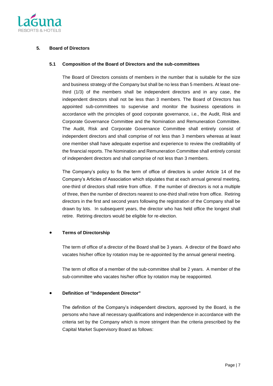

#### **5. Board of Directors**

#### **5.1 Composition of the Board of Directors and the sub-committees**

The Board of Directors consists of members in the number that is suitable for the size and business strategy of the Company but shall be no less than 5 members. At least onethird (1/3) of the members shall be independent directors and in any case, the independent directors shall not be less than 3 members. The Board of Directors has appointed sub-committees to supervise and monitor the business operations in accordance with the principles of good corporate governance, i.e., the Audit, Risk and Corporate Governance Committee and the Nomination and Remuneration Committee. The Audit, Risk and Corporate Governance Committee shall entirely consist of independent directors and shall comprise of not less than 3 members whereas at least one member shall have adequate expertise and experience to review the creditability of the financial reports. The Nomination and Remuneration Committee shall entirely consist of independent directors and shall comprise of not less than 3 members.

The Company's policy to fix the term of office of directors is under Article 14 of the Company's Articles of Association which stipulates that at each annual general meeting, one-third of directors shall retire from office. If the number of directors is not a multiple of three, then the number of directors nearest to one-third shall retire from office. Retiring directors in the first and second years following the registration of the Company shall be drawn by lots. In subsequent years, the director who has held office the longest shall retire. Retiring directors would be eligible for re-election.

#### • **Terms of Directorship**

The term of office of a director of the Board shall be 3 years. A director of the Board who vacates his/her office by rotation may be re-appointed by the annual general meeting.

The term of office of a member of the sub-committee shall be 2 years. A member of the sub-committee who vacates his/her office by rotation may be reappointed.

#### • **Definition of "Independent Director"**

The definition of the Company's independent directors, approved by the Board, is the persons who have all necessary qualifications and independence in accordance with the criteria set by the Company which is more stringent than the criteria prescribed by the Capital Market Supervisory Board as follows: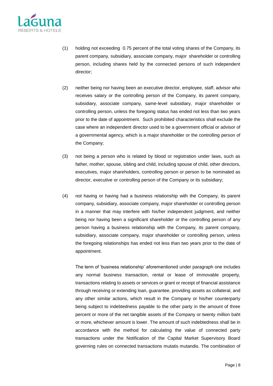

- (1) holding not exceeding 0.75 percent of the total voting shares of the Company, its parent company, subsidiary, associate company, major shareholder or controlling person, including shares held by the connected persons of such independent director;
- (2) neither being nor having been an executive director, employee, staff, advisor who receives salary or the controlling person of the Company, its parent company, subsidiary, associate company, same-level subsidiary, major shareholder or controlling person, unless the foregoing status has ended not less than two years prior to the date of appointment. Such prohibited characteristics shall exclude the case where an independent director used to be a government official or advisor of a governmental agency, which is a major shareholder or the controlling person of the Company;
- (3) not being a person who is related by blood or registration under laws, such as father, mother, spouse, sibling and child, including spouse of child, other directors, executives, major shareholders, controlling person or person to be nominated as director, executive or controlling person of the Company or its subsidiary;
- (4) not having or having had a business relationship with the Company, its parent company, subsidiary, associate company, major shareholder or controlling person in a manner that may interfere with his/her independent judgment, and neither being nor having been a significant shareholder or the controlling person of any person having a business relationship with the Company, its parent company, subsidiary, associate company, major shareholder or controlling person, unless the foregoing relationships has ended not less than two years prior to the date of appointment.

The term of 'business relationship' aforementioned under paragraph one includes any normal business transaction, rental or lease of immovable property, transactions relating to assets or services or grant or receipt of financial assistance through receiving or extending loan, guarantee, providing assets as collateral, and any other similar actions, which result in the Company or his/her counterparty being subject to indebtedness payable to the other party in the amount of three percent or more of the net tangible assets of the Company or twenty million baht or more, whichever amount is lower. The amount of such indebtedness shall be in accordance with the method for calculating the value of connected party transactions under the Notification of the Capital Market Supervisory Board governing rules on connected transactions mutatis mutandis. The combination of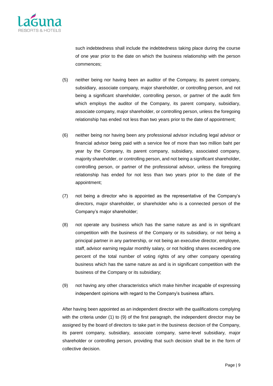

such indebtedness shall include the indebtedness taking place during the course of one year prior to the date on which the business relationship with the person commences;

- (5) neither being nor having been an auditor of the Company, its parent company, subsidiary, associate company, major shareholder, or controlling person, and not being a significant shareholder, controlling person, or partner of the audit firm which employs the auditor of the Company, its parent company, subsidiary, associate company, major shareholder, or controlling person, unless the foregoing relationship has ended not less than two years prior to the date of appointment;
- (6) neither being nor having been any professional advisor including legal advisor or financial advisor being paid with a service fee of more than two million baht per year by the Company, its parent company, subsidiary, associated company, majority shareholder, or controlling person, and not being a significant shareholder, controlling person, or partner of the professional advisor, unless the foregoing relationship has ended for not less than two years prior to the date of the appointment;
- (7) not being a director who is appointed as the representative of the Company's directors, major shareholder, or shareholder who is a connected person of the Company's major shareholder;
- (8) not operate any business which has the same nature as and is in significant competition with the business of the Company or its subsidiary, or not being a principal partner in any partnership, or not being an executive director, employee, staff, advisor earning regular monthly salary, or not holding shares exceeding one percent of the total number of voting rights of any other company operating business which has the same nature as and is in significant competition with the business of the Company or its subsidiary;
- (9) not having any other characteristics which make him/her incapable of expressing independent opinions with regard to the Company's business affairs.

After having been appointed as an independent director with the qualifications complying with the criteria under (1) to (9) of the first paragraph, the independent director may be assigned by the board of directors to take part in the business decision of the Company, its parent company, subsidiary, associate company, same-level subsidiary, major shareholder or controlling person, providing that such decision shall be in the form of collective decision.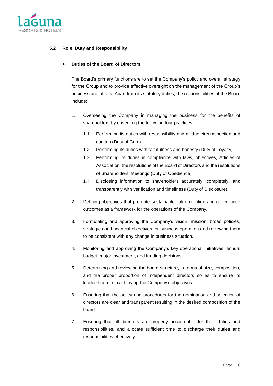

#### **5.2 Role, Duty and Responsibility**

#### • **Duties of the Board of Directors**

The Board's primary functions are to set the Company's policy and overall strategy for the Group and to provide effective oversight on the management of the Group's business and affairs. Apart from its statutory duties, the responsibilities of the Board include:

- 1. Overseeing the Company in managing the business for the benefits of shareholders by observing the following four practices:
	- 1.1 Performing its duties with responsibility and all due circumspection and caution (Duty of Care).
	- 1.2 Performing its duties with faithfulness and honesty (Duty of Loyalty).
	- 1.3 Performing its duties in compliance with laws, objectives, Articles of Association, the resolutions of the Board of Directors and the resolutions of Shareholders' Meetings (Duty of Obedience).
	- 1.4 Disclosing information to shareholders accurately, completely, and transparently with verification and timeliness (Duty of Disclosure).
- 2. Defining objectives that promote sustainable value creation and governance outcomes as a framework for the operations of the Company.
- 3. Formulating and approving the Company's vision, mission, broad policies, strategies and financial objectives for business operation and reviewing them to be consistent with any change in business situation.
- 4. Monitoring and approving the Company's key operational initiatives, annual budget, major investment, and funding decisions;
- 5. Determining and reviewing the board structure, in terms of size, composition, and the proper proportion of independent directors so as to ensure its leadership role in achieving the Company's objectives.
- 6. Ensuring that the policy and procedures for the nomination and selection of directors are clear and transparent resulting in the desired composition of the board.
- 7. Ensuring that all directors are properly accountable for their duties and responsibilities, and allocate sufficient time to discharge their duties and responsibilities effectively.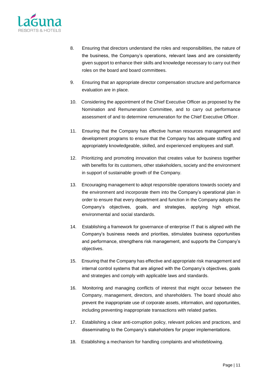

- 8. Ensuring that directors understand the roles and responsibilities, the nature of the business, the Company's operations, relevant laws and are consistently given support to enhance their skills and knowledge necessary to carry out their roles on the board and board committees.
- 9. Ensuring that an appropriate director compensation structure and performance evaluation are in place.
- 10. Considering the appointment of the Chief Executive Officer as proposed by the Nomination and Remuneration Committee, and to carry out performance assessment of and to determine remuneration for the Chief Executive Officer.
- 11. Ensuring that the Company has effective human resources management and development programs to ensure that the Company has adequate staffing and appropriately knowledgeable, skilled, and experienced employees and staff.
- 12. Prioritizing and promoting innovation that creates value for business together with benefits for its customers, other stakeholders, society and the environment in support of sustainable growth of the Company.
- 13. Encouraging management to adopt responsible operations towards society and the environment and incorporate them into the Company's operational plan in order to ensure that every department and function in the Company adopts the Company's objectives, goals, and strategies, applying high ethical, environmental and social standards.
- 14. Establishing a framework for governance of enterprise IT that is aligned with the Company's business needs and priorities, stimulates business opportunities and performance, strengthens risk management, and supports the Company's objectives.
- 15. Ensuring that the Company has effective and appropriate risk management and internal control systems that are aligned with the Company's objectives, goals and strategies and comply with applicable laws and standards.
- 16. Monitoring and managing conflicts of interest that might occur between the Company, management, directors, and shareholders. The board should also prevent the inappropriate use of corporate assets, information, and opportunities, including preventing inappropriate transactions with related parties.
- 17. Establishing a clear anti-corruption policy, relevant policies and practices, and disseminating to the Company's stakeholders for proper implementations.
- 18. Establishing a mechanism for handling complaints and whistleblowing.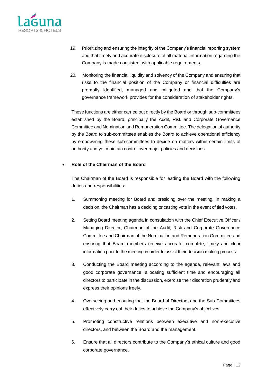

- 19. Prioritizing and ensuring the integrity of the Company's financial reporting system and that timely and accurate disclosure of all material information regarding the Company is made consistent with applicable requirements.
- 20. Monitoring the financial liquidity and solvency of the Company and ensuring that risks to the financial position of the Company or financial difficulties are promptly identified, managed and mitigated and that the Company's governance framework provides for the consideration of stakeholder rights.

These functions are either carried out directly by the Board or through sub-committees established by the Board, principally the Audit, Risk and Corporate Governance Committee and Nomination and Remuneration Committee. The delegation of authority by the Board to sub-committees enables the Board to achieve operational efficiency by empowering these sub-committees to decide on matters within certain limits of authority and yet maintain control over major policies and decisions.

#### • **Role of the Chairman of the Board**

The Chairman of the Board is responsible for leading the Board with the following duties and responsibilities:

- 1. Summoning meeting for Board and presiding over the meeting. In making a decision, the Chairman has a deciding or casting vote in the event of tied votes.
- 2. Setting Board meeting agenda in consultation with the Chief Executive Officer / Managing Director, Chairman of the Audit, Risk and Corporate Governance Committee and Chairman of the Nomination and Remuneration Committee and ensuring that Board members receive accurate, complete, timely and clear information prior to the meeting in order to assist their decision making process.
- 3. Conducting the Board meeting according to the agenda, relevant laws and good corporate governance, allocating sufficient time and encouraging all directors to participate in the discussion, exercise their discretion prudently and express their opinions freely.
- 4. Overseeing and ensuring that the Board of Directors and the Sub-Committees effectively carry out their duties to achieve the Company's objectives.
- 5. Promoting constructive relations between executive and non-executive directors, and between the Board and the management.
- 6. Ensure that all directors contribute to the Company's ethical culture and good corporate governance.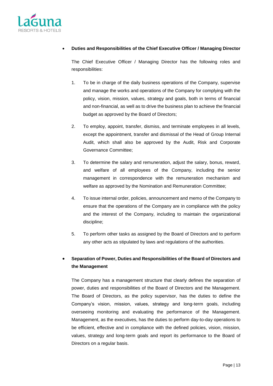

#### • **Duties and Responsibilities of the Chief Executive Officer / Managing Director**

The Chief Executive Officer / Managing Director has the following roles and responsibilities:

- 1. To be in charge of the daily business operations of the Company, supervise and manage the works and operations of the Company for complying with the policy, vision, mission, values, strategy and goals, both in terms of financial and non-financial, as well as to drive the business plan to achieve the financial budget as approved by the Board of Directors;
- 2. To employ, appoint, transfer, dismiss, and terminate employees in all levels, except the appointment, transfer and dismissal of the Head of Group Internal Audit, which shall also be approved by the Audit, Risk and Corporate Governance Committee;
- 3. To determine the salary and remuneration, adjust the salary, bonus, reward, and welfare of all employees of the Company, including the senior management in correspondence with the remuneration mechanism and welfare as approved by the Nomination and Remuneration Committee;
- 4. To issue internal order, policies, announcement and memo of the Company to ensure that the operations of the Company are in compliance with the policy and the interest of the Company, including to maintain the organizational discipline;
- 5. To perform other tasks as assigned by the Board of Directors and to perform any other acts as stipulated by laws and regulations of the authorities.

# • **Separation of Power, Duties and Responsibilities of the Board of Directors and the Management**

The Company has a management structure that clearly defines the separation of power, duties and responsibilities of the Board of Directors and the Management. The Board of Directors, as the policy supervisor, has the duties to define the Company's vision, mission, values, strategy and long-term goals, including overseeing monitoring and evaluating the performance of the Management. Management, as the executives, has the duties to perform day-to-day operations to be efficient, effective and in compliance with the defined policies, vision, mission, values, strategy and long-term goals and report its performance to the Board of Directors on a regular basis.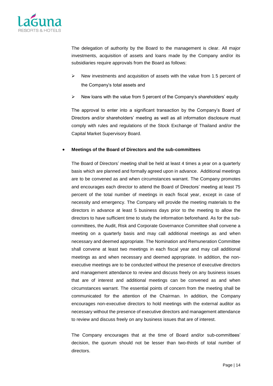

The delegation of authority by the Board to the management is clear. All major investments, acquisition of assets and loans made by the Company and/or its subsidiaries require approvals from the Board as follows:

- $\triangleright$  New investments and acquisition of assets with the value from 1.5 percent of the Company's total assets and
- ➢ New loans with the value from 5 percent of the Company's shareholders' equity

The approval to enter into a significant transaction by the Company's Board of Directors and/or shareholders' meeting as well as all information disclosure must comply with rules and regulations of the Stock Exchange of Thailand and/or the Capital Market Supervisory Board.

#### • **Meetings of the Board of Directors and the sub-committees**

The Board of Directors' meeting shall be held at least 4 times a year on a quarterly basis which are planned and formally agreed upon in advance. Additional meetings are to be convened as and when circumstances warrant. The Company promotes and encourages each director to attend the Board of Directors' meeting at least 75 percent of the total number of meetings in each fiscal year, except in case of necessity and emergency. The Company will provide the meeting materials to the directors in advance at least 5 business days prior to the meeting to allow the directors to have sufficient time to study the information beforehand. As for the subcommittees, the Audit, Risk and Corporate Governance Committee shall convene a meeting on a quarterly basis and may call additional meetings as and when necessary and deemed appropriate. The Nomination and Remuneration Committee shall convene at least two meetings in each fiscal year and may call additional meetings as and when necessary and deemed appropriate. In addition, the nonexecutive meetings are to be conducted without the presence of executive directors and management attendance to review and discuss freely on any business issues that are of interest and additional meetings can be convened as and when circumstances warrant. The essential points of concern from the meeting shall be communicated for the attention of the Chairman. In addition, the Company encourages non-executive directors to hold meetings with the external auditor as necessary without the presence of executive directors and management attendance to review and discuss freely on any business issues that are of interest.

The Company encourages that at the time of Board and/or sub-committees' decision, the quorum should not be lesser than two-thirds of total number of directors.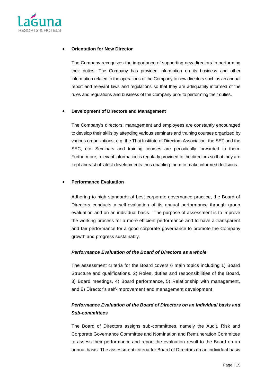

#### • **Orientation for New Director**

The Company recognizes the importance of supporting new directors in performing their duties. The Company has provided information on its business and other information related to the operations of the Company to new directors such as an annual report and relevant laws and regulations so that they are adequately informed of the rules and regulations and business of the Company prior to performing their duties.

#### • **Development of Directors and Management**

The Company's directors, management and employees are constantly encouraged to develop their skills by attending various seminars and training courses organized by various organizations, e.g. the Thai Institute of Directors Association, the SET and the SEC, etc. Seminars and training courses are periodically forwarded to them. Furthermore, relevant information is regularly provided to the directors so that they are kept abreast of latest developments thus enabling them to make informed decisions.

#### • **Performance Evaluation**

Adhering to high standards of best corporate governance practice, the Board of Directors conducts a self-evaluation of its annual performance through group evaluation and on an individual basis. The purpose of assessment is to improve the working process for a more efficient performance and to have a transparent and fair performance for a good corporate governance to promote the Company growth and progress sustainably.

#### *Performance Evaluation of the Board of Directors as a whole*

The assessment criteria for the Board covers 6 main topics including 1) Board Structure and qualifications, 2) Roles, duties and responsibilities of the Board, 3) Board meetings, 4) Board performance, 5) Relationship with management, and 6) Director's self-improvement and management development.

# *Performance Evaluation of the Board of Directors on an individual basis and Sub-committees*

The Board of Directors assigns sub-committees, namely the Audit, Risk and Corporate Governance Committee and Nomination and Remuneration Committee to assess their performance and report the evaluation result to the Board on an annual basis. The assessment criteria for Board of Directors on an individual basis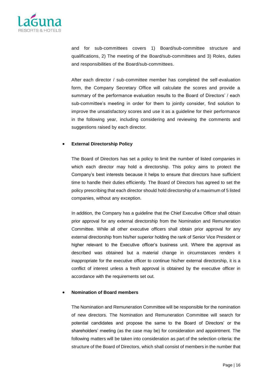

and for sub-committees covers 1) Board/sub-committee structure and qualifications, 2) The meeting of the Board/sub-committees and 3) Roles, duties and responsibilities of the Board/sub-committees.

After each director / sub-committee member has completed the self-evaluation form, the Company Secretary Office will calculate the scores and provide a summary of the performance evaluation results to the Board of Directors' / each sub-committee's meeting in order for them to jointly consider, find solution to improve the unsatisfactory scores and use it as a guideline for their performance in the following year, including considering and reviewing the comments and suggestions raised by each director.

#### • **External Directorship Policy**

The Board of Directors has set a policy to limit the number of listed companies in which each director may hold a directorship. This policy aims to protect the Company's best interests because it helps to ensure that directors have sufficient time to handle their duties efficiently. The Board of Directors has agreed to set the policy prescribing that each director should hold directorship of a maximum of 5 listed companies, without any exception.

In addition, the Company has a guideline that the Chief Executive Officer shall obtain prior approval for any external directorship from the Nomination and Remuneration Committee. While all other executive officers shall obtain prior approval for any external directorship from his/her superior holding the rank of Senior Vice President or higher relevant to the Executive officer's business unit. Where the approval as described was obtained but a material change in circumstances renders it inappropriate for the executive officer to continue his/her external directorship, it is a conflict of interest unless a fresh approval is obtained by the executive officer in accordance with the requirements set out.

#### • **Nomination of Board members**

The Nomination and Remuneration Committee will be responsible for the nomination of new directors. The Nomination and Remuneration Committee will search for potential candidates and propose the same to the Board of Directors' or the shareholders' meeting (as the case may be) for consideration and appointment. The following matters will be taken into consideration as part of the selection criteria: the structure of the Board of Directors, which shall consist of members in the number that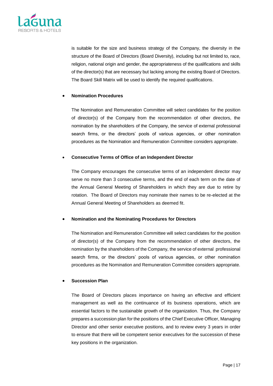

is suitable for the size and business strategy of the Company, the diversity in the structure of the Board of Directors (Board Diversity), including but not limited to, race, religion, national origin and gender, the appropriateness of the qualifications and skills of the director(s) that are necessary but lacking among the existing Board of Directors. The Board Skill Matrix will be used to identify the required qualifications.

#### • **Nomination Procedures**

The Nomination and Remuneration Committee will select candidates for the position of director(s) of the Company from the recommendation of other directors, the nomination by the shareholders of the Company, the service of external professional search firms, or the directors' pools of various agencies, or other nomination procedures as the Nomination and Remuneration Committee considers appropriate.

#### • **Consecutive Terms of Office of an Independent Director**

The Company encourages the consecutive terms of an independent director may serve no more than 3 consecutive terms, and the end of each term on the date of the Annual General Meeting of Shareholders in which they are due to retire by rotation. The Board of Directors may nominate their names to be re-elected at the Annual General Meeting of Shareholders as deemed fit.

#### • **Nomination and the Nominating Procedures for Directors**

The Nomination and Remuneration Committee will select candidates for the position of director(s) of the Company from the recommendation of other directors, the nomination by the shareholders of the Company, the service of external professional search firms, or the directors' pools of various agencies, or other nomination procedures as the Nomination and Remuneration Committee considers appropriate.

#### • **Succession Plan**

The Board of Directors places importance on having an effective and efficient management as well as the continuance of its business operations, which are essential factors to the sustainable growth of the organization. Thus, the Company prepares a succession plan for the positions of the Chief Executive Officer, Managing Director and other senior executive positions, and to review every 3 years in order to ensure that there will be competent senior executives for the succession of these key positions in the organization.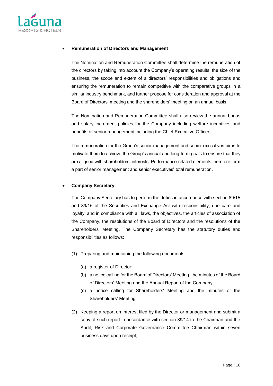

#### • **Remuneration of Directors and Management**

The Nomination and Remuneration Committee shall determine the remuneration of the directors by taking into account the Company's operating results, the size of the business, the scope and extent of a directors' responsibilities and obligations and ensuring the remuneration to remain competitive with the comparative groups in a similar industry benchmark, and further propose for consideration and approval at the Board of Directors' meeting and the shareholders' meeting on an annual basis.

The Nomination and Remuneration Committee shall also review the annual bonus and salary increment policies for the Company including welfare incentives and benefits of senior management including the Chief Executive Officer.

The remuneration for the Group's senior management and senior executives aims to motivate them to achieve the Group's annual and long-term goals to ensure that they are aligned with shareholders' interests. Performance-related elements therefore form a part of senior management and senior executives' total remuneration.

#### • **Company Secretary**

The Company Secretary has to perform the duties in accordance with section 89/15 and 89/16 of the Securities and Exchange Act with responsibility, due care and loyalty, and in compliance with all laws, the objectives, the articles of association of the Company, the resolutions of the Board of Directors and the resolutions of the Shareholders' Meeting. The Company Secretary has the statutory duties and responsibilities as follows:

- (1) Preparing and maintaining the following documents:
	- (a) a register of Director;
	- (b) a notice calling for the Board of Directors' Meeting, the minutes of the Board of Directors' Meeting and the Annual Report of the Company;
	- (c) a notice calling for Shareholders' Meeting and the minutes of the Shareholders' Meeting;
- (2) Keeping a report on interest filed by the Director or management and submit a copy of such report in accordance with section 89/14 to the Chairman and the Audit, Risk and Corporate Governance Committee Chairman within seven business days upon receipt;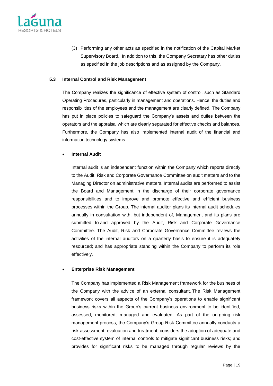

(3) Performing any other acts as specified in the notification of the Capital Market Supervisory Board. In addition to this, the Company Secretary has other duties as specified in the job descriptions and as assigned by the Company.

#### **5.3 Internal Control and Risk Management**

The Company realizes the significance of effective system of control, such as Standard Operating Procedures, particularly in management and operations. Hence, the duties and responsibilities of the employees and the management are clearly defined. The Company has put in place policies to safeguard the Company's assets and duties between the operators and the appraisal which are clearly separated for effective checks and balances. Furthermore, the Company has also implemented internal audit of the financial and information technology systems.

#### • **Internal Audit**

Internal audit is an independent function within the Company which reports directly to the Audit, Risk and Corporate Governance Committee on audit matters and to the Managing Director on administrative matters. Internal audits are performed to assist the Board and Management in the discharge of their corporate governance responsibilities and to improve and promote effective and efficient business processes within the Group. The internal auditor plans its internal audit schedules annually in consultation with, but independent of, Management and its plans are submitted to and approved by the Audit, Risk and Corporate Governance Committee. The Audit, Risk and Corporate Governance Committee reviews the activities of the internal auditors on a quarterly basis to ensure it is adequately resourced; and has appropriate standing within the Company to perform its role effectively.

#### • **Enterprise Risk Management**

The Company has implemented a Risk Management framework for the business of the Company with the advice of an external consultant. The Risk Management framework covers all aspects of the Company's operations to enable significant business risks within the Group's current business environment to be identified, assessed, monitored, managed and evaluated. As part of the on-going risk management process, the Company's Group Risk Committee annually conducts a risk assessment, evaluation and treatment; considers the adoption of adequate and cost-effective system of internal controls to mitigate significant business risks; and provides for significant risks to be managed through regular reviews by the